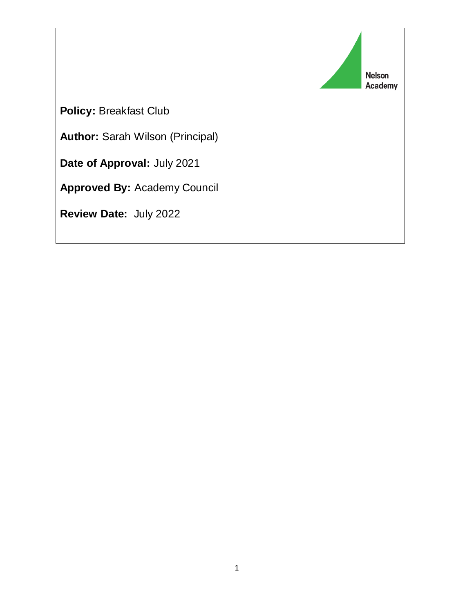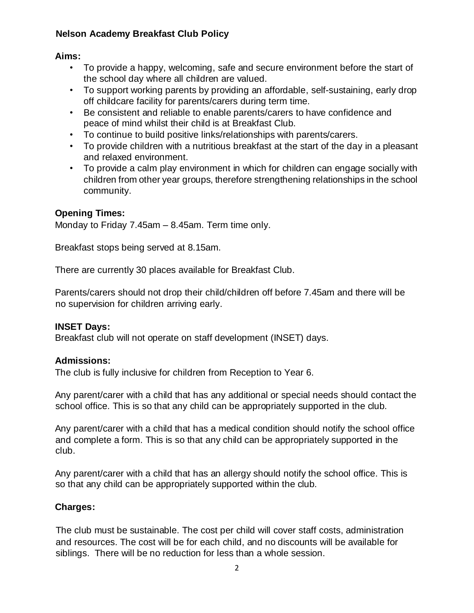# **Nelson Academy Breakfast Club Policy**

# **Aims:**

- To provide a happy, welcoming, safe and secure environment before the start of the school day where all children are valued.
- To support working parents by providing an affordable, self-sustaining, early drop off childcare facility for parents/carers during term time.
- Be consistent and reliable to enable parents/carers to have confidence and peace of mind whilst their child is at Breakfast Club.
- To continue to build positive links/relationships with parents/carers.
- To provide children with a nutritious breakfast at the start of the day in a pleasant and relaxed environment.
- To provide a calm play environment in which for children can engage socially with children from other year groups, therefore strengthening relationships in the school community.

# **Opening Times:**

Monday to Friday 7.45am – 8.45am. Term time only.

Breakfast stops being served at 8.15am.

There are currently 30 places available for Breakfast Club.

Parents/carers should not drop their child/children off before 7.45am and there will be no supervision for children arriving early.

# **INSET Days:**

Breakfast club will not operate on staff development (INSET) days.

# **Admissions:**

The club is fully inclusive for children from Reception to Year 6.

Any parent/carer with a child that has any additional or special needs should contact the school office. This is so that any child can be appropriately supported in the club.

Any parent/carer with a child that has a medical condition should notify the school office and complete a form. This is so that any child can be appropriately supported in the club.

Any parent/carer with a child that has an allergy should notify the school office. This is so that any child can be appropriately supported within the club.

# **Charges:**

The club must be sustainable. The cost per child will cover staff costs, administration and resources. The cost will be for each child, and no discounts will be available for siblings. There will be no reduction for less than a whole session.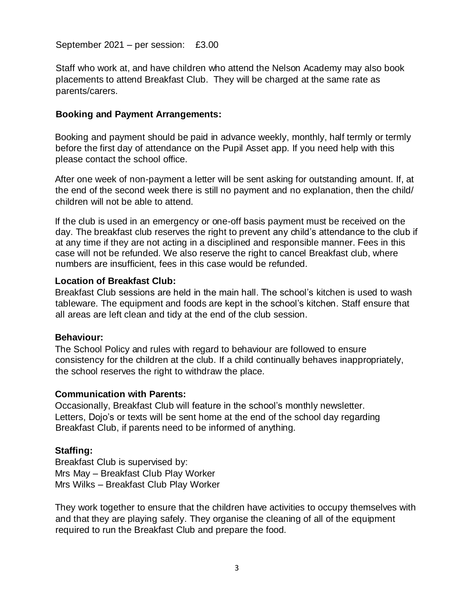September 2021 – per session: £3.00

Staff who work at, and have children who attend the Nelson Academy may also book placements to attend Breakfast Club. They will be charged at the same rate as parents/carers.

## **Booking and Payment Arrangements:**

Booking and payment should be paid in advance weekly, monthly, half termly or termly before the first day of attendance on the Pupil Asset app. If you need help with this please contact the school office.

After one week of non-payment a letter will be sent asking for outstanding amount. If, at the end of the second week there is still no payment and no explanation, then the child/ children will not be able to attend.

If the club is used in an emergency or one-off basis payment must be received on the day. The breakfast club reserves the right to prevent any child's attendance to the club if at any time if they are not acting in a disciplined and responsible manner. Fees in this case will not be refunded. We also reserve the right to cancel Breakfast club, where numbers are insufficient, fees in this case would be refunded.

#### **Location of Breakfast Club:**

Breakfast Club sessions are held in the main hall. The school's kitchen is used to wash tableware. The equipment and foods are kept in the school's kitchen. Staff ensure that all areas are left clean and tidy at the end of the club session.

## **Behaviour:**

The School Policy and rules with regard to behaviour are followed to ensure consistency for the children at the club. If a child continually behaves inappropriately, the school reserves the right to withdraw the place.

## **Communication with Parents:**

Occasionally, Breakfast Club will feature in the school's monthly newsletter. Letters, Dojo's or texts will be sent home at the end of the school day regarding Breakfast Club, if parents need to be informed of anything.

## **Staffing:**

Breakfast Club is supervised by: Mrs May – Breakfast Club Play Worker Mrs Wilks – Breakfast Club Play Worker

They work together to ensure that the children have activities to occupy themselves with and that they are playing safely. They organise the cleaning of all of the equipment required to run the Breakfast Club and prepare the food.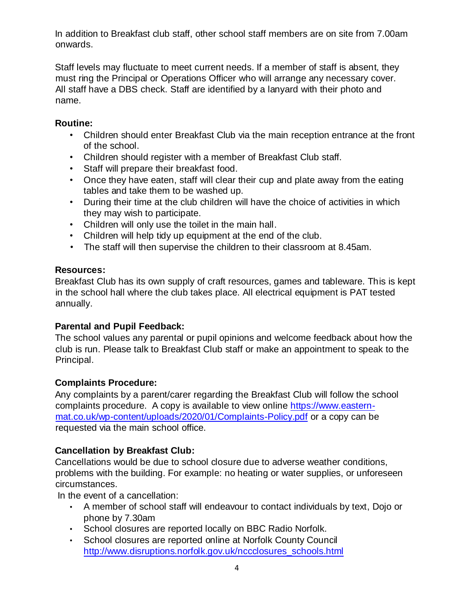In addition to Breakfast club staff, other school staff members are on site from 7.00am onwards.

Staff levels may fluctuate to meet current needs. If a member of staff is absent, they must ring the Principal or Operations Officer who will arrange any necessary cover. All staff have a DBS check. Staff are identified by a lanyard with their photo and name.

# **Routine:**

- Children should enter Breakfast Club via the main reception entrance at the front of the school.
- Children should register with a member of Breakfast Club staff.
- Staff will prepare their breakfast food.
- Once they have eaten, staff will clear their cup and plate away from the eating tables and take them to be washed up.
- During their time at the club children will have the choice of activities in which they may wish to participate.
- Children will only use the toilet in the main hall.
- Children will help tidy up equipment at the end of the club.
- The staff will then supervise the children to their classroom at 8.45am.

# **Resources:**

Breakfast Club has its own supply of craft resources, games and tableware. This is kept in the school hall where the club takes place. All electrical equipment is PAT tested annually.

# **Parental and Pupil Feedback:**

The school values any parental or pupil opinions and welcome feedback about how the club is run. Please talk to Breakfast Club staff or make an appointment to speak to the Principal.

# **Complaints Procedure:**

Any complaints by a parent/carer regarding the Breakfast Club will follow the school complaints procedure. A copy is available to view online [https://www.eastern](https://www.eastern-mat.co.uk/wp-content/uploads/2020/01/Complaints-Policy.pdf)[mat.co.uk/wp-content/uploads/2020/01/Complaints-Policy.pdf](https://www.eastern-mat.co.uk/wp-content/uploads/2020/01/Complaints-Policy.pdf) or a copy can be requested via the main school office.

# **Cancellation by Breakfast Club:**

Cancellations would be due to school closure due to adverse weather conditions, problems with the building. For example: no heating or water supplies, or unforeseen circumstances.

In the event of a cancellation:

- A member of school staff will endeavour to contact individuals by text, Dojo or phone by 7.30am
- School closures are reported locally on BBC Radio Norfolk.
- School closures are reported online at Norfolk County Council [http://www.disruptions.norfolk.gov.uk/nccclosures\\_schools.html](http://www.disruptions.norfolk.gov.uk/nccclosures_schools.html)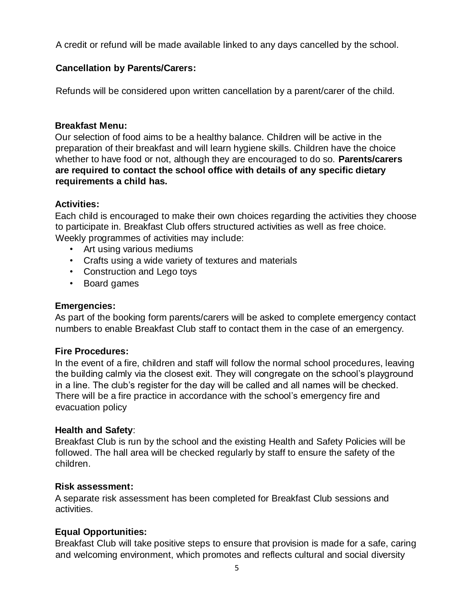A credit or refund will be made available linked to any days cancelled by the school.

## **Cancellation by Parents/Carers:**

Refunds will be considered upon written cancellation by a parent/carer of the child.

#### **Breakfast Menu:**

Our selection of food aims to be a healthy balance. Children will be active in the preparation of their breakfast and will learn hygiene skills. Children have the choice whether to have food or not, although they are encouraged to do so. **Parents/carers are required to contact the school office with details of any specific dietary requirements a child has.**

## **Activities:**

Each child is encouraged to make their own choices regarding the activities they choose to participate in. Breakfast Club offers structured activities as well as free choice. Weekly programmes of activities may include:

- Art using various mediums
- Crafts using a wide variety of textures and materials
- Construction and Lego toys
- Board games

#### **Emergencies:**

As part of the booking form parents/carers will be asked to complete emergency contact numbers to enable Breakfast Club staff to contact them in the case of an emergency.

## **Fire Procedures:**

In the event of a fire, children and staff will follow the normal school procedures, leaving the building calmly via the closest exit. They will congregate on the school's playground in a line. The club's register for the day will be called and all names will be checked. There will be a fire practice in accordance with the school's emergency fire and evacuation policy

#### **Health and Safety**:

Breakfast Club is run by the school and the existing Health and Safety Policies will be followed. The hall area will be checked regularly by staff to ensure the safety of the children.

#### **Risk assessment:**

A separate risk assessment has been completed for Breakfast Club sessions and activities.

## **Equal Opportunities:**

Breakfast Club will take positive steps to ensure that provision is made for a safe, caring and welcoming environment, which promotes and reflects cultural and social diversity